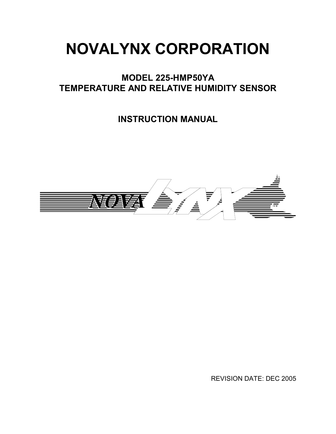# NOVALYNX CORPORATION

# MODEL 225-HMP50YA TEMPERATURE AND RELATIVE HUMIDITY SENSOR

INSTRUCTION MANUAL



REVISION DATE: DEC 2005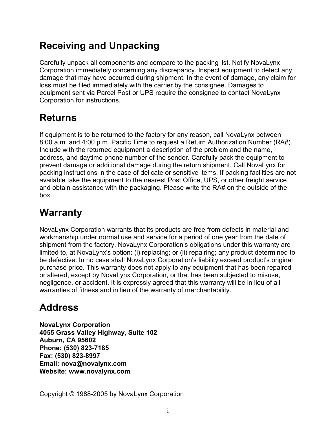# Receiving and Unpacking

Carefully unpack all components and compare to the packing list. Notify NovaLynx Corporation immediately concerning any discrepancy. Inspect equipment to detect any damage that may have occurred during shipment. In the event of damage, any claim for loss must be filed immediately with the carrier by the consignee. Damages to equipment sent via Parcel Post or UPS require the consignee to contact NovaLynx Corporation for instructions.

# Returns

If equipment is to be returned to the factory for any reason, call NovaLynx between 8:00 a.m. and 4:00 p.m. Pacific Time to request a Return Authorization Number (RA#). Include with the returned equipment a description of the problem and the name, address, and daytime phone number of the sender. Carefully pack the equipment to prevent damage or additional damage during the return shipment. Call NovaLynx for packing instructions in the case of delicate or sensitive items. If packing facilities are not available take the equipment to the nearest Post Office, UPS, or other freight service and obtain assistance with the packaging. Please write the RA# on the outside of the box.

# Warranty

NovaLynx Corporation warrants that its products are free from defects in material and workmanship under normal use and service for a period of one year from the date of shipment from the factory. NovaLynx Corporation's obligations under this warranty are limited to, at NovaLynx's option: (i) replacing; or (ii) repairing; any product determined to be defective. In no case shall NovaLynx Corporation's liability exceed product's original purchase price. This warranty does not apply to any equipment that has been repaired or altered, except by NovaLynx Corporation, or that has been subjected to misuse, negligence, or accident. It is expressly agreed that this warranty will be in lieu of all warranties of fitness and in lieu of the warranty of merchantability.

# **Address**

NovaLynx Corporation 4055 Grass Valley Highway, Suite 102 Auburn, CA 95602 Phone: (530) 823-7185 Fax: (530) 823-8997 Email: nova@novalynx.com Website: www.novalynx.com

Copyright © 1988-2005 by NovaLynx Corporation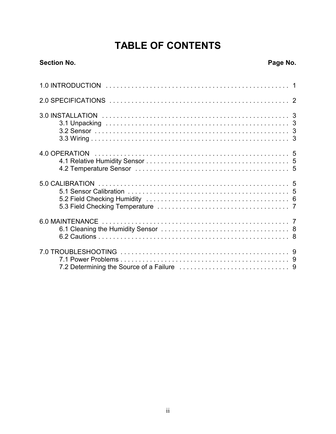# **TABLE OF CONTENTS**

#### **Section No.**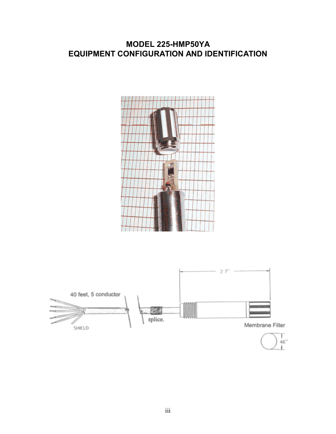### MODEL 225-HMP50YA EQUIPMENT CONFIGURATION AND IDENTIFICATION



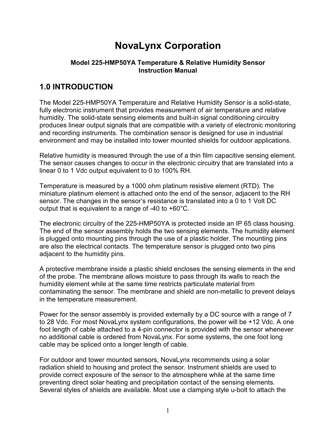# NovaLynx Corporation

#### Model 225-HMP50YA Temperature & Relative Humidity Sensor Instruction Manual

## 1.0 INTRODUCTION

The Model 225-HMP50YA Temperature and Relative Humidity Sensor is a solid-state, fully electronic instrument that provides measurement of air temperature and relative humidity. The solid-state sensing elements and built-in signal conditioning circuitry produces linear output signals that are compatible with a variety of electronic monitoring and recording instruments. The combination sensor is designed for use in industrial environment and may be installed into tower mounted shields for outdoor applications.

Relative humidity is measured through the use of a thin film capacitive sensing element. The sensor causes changes to occur in the electronic circuitry that are translated into a linear 0 to 1 Vdc output equivalent to 0 to 100% RH.

Temperature is measured by a 1000 ohm platinum resistive element (RTD). The miniature platinum element is attached onto the end of the sensor, adjacent to the RH sensor. The changes in the sensor's resistance is translated into a 0 to 1 Volt DC output that is equivalent to a range of -40 to +60°C.

The electronic circuitry of the 225-HMP50YA is protected inside an IP 65 class housing. The end of the sensor assembly holds the two sensing elements. The humidity element is plugged onto mounting pins through the use of a plastic holder. The mounting pins are also the electrical contacts. The temperature sensor is plugged onto two pins adjacent to the humidity pins.

A protective membrane inside a plastic shield encloses the sensing elements in the end of the probe. The membrane allows moisture to pass through its walls to reach the humidity element while at the same time restricts particulate material from contaminating the sensor. The membrane and shield are non-metallic to prevent delays in the temperature measurement.

Power for the sensor assembly is provided externally by a DC source with a range of 7 to 28 Vdc. For most NovaLynx system configurations, the power will be +12 Vdc. A one foot length of cable attached to a 4-pin connector is provided with the sensor whenever no additional cable is ordered from NovaLynx. For some systems, the one foot long cable may be spliced onto a longer length of cable.

For outdoor and tower mounted sensors, NovaLynx recommends using a solar radiation shield to housing and protect the sensor. Instrument shields are used to provide correct exposure of the sensor to the atmosphere while at the same time preventing direct solar heating and precipitation contact of the sensing elements. Several styles of shields are available. Most use a clamping style u-bolt to attach the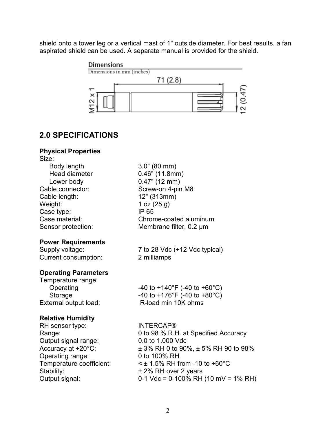shield onto a tower leg or a vertical mast of 1" outside diameter. For best results, a fan aspirated shield can be used. A separate manual is provided for the shield.



### 2.0 SPECIFICATIONS

#### Physical Properties

| 3.0" (80 mm)                                |
|---------------------------------------------|
| $0.46"$ (11.8mm)                            |
| $0.47$ " (12 mm)                            |
| Screw-on 4-pin M8                           |
| 12" (313mm)                                 |
| 1 oz $(25 g)$                               |
| IP 65                                       |
| Chrome-coated aluminum                      |
| Membrane filter, 0.2 µm                     |
|                                             |
| 7 to 28 Vdc (+12 Vdc typical)               |
| 2 milliamps                                 |
|                                             |
|                                             |
| -40 to +140°F (-40 to +60°C)                |
| -40 to +176°F (-40 to +80°C)                |
| R-load min 10K ohms                         |
|                                             |
| <b>INTERCAP®</b>                            |
| 0 to 98 % R.H. at Specified Accuracy        |
| 0.0 to 1.000 Vdc                            |
| $\pm$ 3% RH 0 to 90%, $\pm$ 5% RH 90 to 98% |
| 0 to 100% RH                                |
|                                             |

Temperature coefficient:  $\times$  ± 1.5% RH from -10 to +60°C<br>Stability:  $\times$  ± 2% RH over 2 years

Stability:  $\pm 2\%$  RH over 2 years<br>Output signal: 0-1 Vdc = 0-100% RH  $0-1$  Vdc = 0-100% RH (10 mV = 1% RH)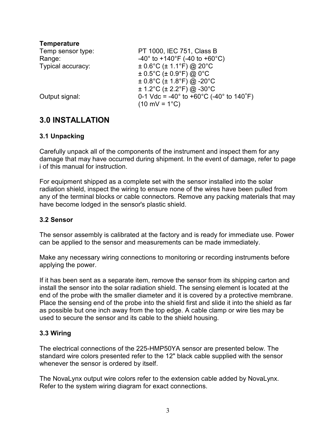| <b>Temperature</b> |                                                                                   |
|--------------------|-----------------------------------------------------------------------------------|
| Temp sensor type:  | PT 1000, IEC 751, Class B                                                         |
| Range:             | $-40^{\circ}$ to $+140^{\circ}$ F (-40 to +60 $^{\circ}$ C)                       |
| Typical accuracy:  | $\pm$ 0.6°C ( $\pm$ 1.1°F) @ 20°C                                                 |
|                    | $\pm$ 0.5°C ( $\pm$ 0.9°F) @ 0°C                                                  |
|                    | $\pm$ 0.8°C ( $\pm$ 1.8°F) @ -20°C                                                |
|                    | $\pm$ 1.2°C ( $\pm$ 2.2°F) @ -30°C                                                |
| Output signal:     | 0-1 Vdc = -40 $^{\circ}$ to +60 $^{\circ}$ C (-40 $^{\circ}$ to 140 $^{\circ}$ F) |
|                    | $(10 \text{ mV} = 1^{\circ}\text{C})$                                             |
|                    |                                                                                   |

### 3.0 INSTALLATION

#### 3.1 Unpacking

Carefully unpack all of the components of the instrument and inspect them for any damage that may have occurred during shipment. In the event of damage, refer to page i of this manual for instruction.

For equipment shipped as a complete set with the sensor installed into the solar radiation shield, inspect the wiring to ensure none of the wires have been pulled from any of the terminal blocks or cable connectors. Remove any packing materials that may have become lodged in the sensor's plastic shield.

#### 3.2 Sensor

The sensor assembly is calibrated at the factory and is ready for immediate use. Power can be applied to the sensor and measurements can be made immediately.

Make any necessary wiring connections to monitoring or recording instruments before applying the power.

If it has been sent as a separate item, remove the sensor from its shipping carton and install the sensor into the solar radiation shield. The sensing element is located at the end of the probe with the smaller diameter and it is covered by a protective membrane. Place the sensing end of the probe into the shield first and slide it into the shield as far as possible but one inch away from the top edge. A cable clamp or wire ties may be used to secure the sensor and its cable to the shield housing.

#### 3.3 Wiring

The electrical connections of the 225-HMP50YA sensor are presented below. The standard wire colors presented refer to the 12" black cable supplied with the sensor whenever the sensor is ordered by itself.

The NovaLynx output wire colors refer to the extension cable added by NovaLynx. Refer to the system wiring diagram for exact connections.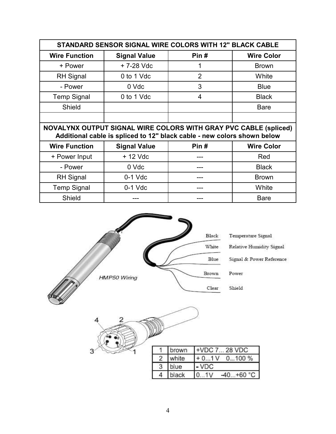| STANDARD SENSOR SIGNAL WIRE COLORS WITH 12" BLACK CABLE                                                                                     |                     |                |                   |  |  |
|---------------------------------------------------------------------------------------------------------------------------------------------|---------------------|----------------|-------------------|--|--|
| <b>Wire Function</b>                                                                                                                        | <b>Signal Value</b> | Pin#           | <b>Wire Color</b> |  |  |
| + Power                                                                                                                                     | + 7-28 Vdc          | 1              | <b>Brown</b>      |  |  |
| <b>RH</b> Signal                                                                                                                            | 0 to 1 Vdc          | $\overline{2}$ | White             |  |  |
| - Power                                                                                                                                     | 0 Vdc               | 3              | <b>Blue</b>       |  |  |
| <b>Temp Signal</b>                                                                                                                          | 0 to 1 Vdc          | 4              | <b>Black</b>      |  |  |
| Shield                                                                                                                                      |                     |                | <b>Bare</b>       |  |  |
|                                                                                                                                             |                     |                |                   |  |  |
| NOVALYNX OUTPUT SIGNAL WIRE COLORS WITH GRAY PVC CABLE (spliced)<br>Additional cable is spliced to 12" black cable - new colors shown below |                     |                |                   |  |  |
|                                                                                                                                             |                     |                |                   |  |  |
| <b>Wire Function</b>                                                                                                                        | <b>Signal Value</b> | Pin#           | <b>Wire Color</b> |  |  |
| + Power Input                                                                                                                               | $+12$ Vdc           |                | Red               |  |  |
| - Power                                                                                                                                     | 0 Vdc               | ---            | <b>Black</b>      |  |  |
| <b>RH</b> Signal                                                                                                                            | $0-1$ Vdc           |                | <b>Brown</b>      |  |  |
| <b>Temp Signal</b>                                                                                                                          | $0-1$ Vdc           |                | White             |  |  |

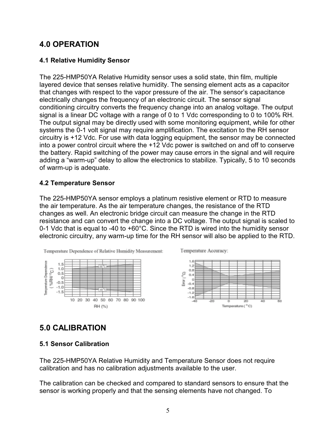### 4.0 OPERATION

#### 4.1 Relative Humidity Sensor

The 225-HMP50YA Relative Humidity sensor uses a solid state, thin film, multiple layered device that senses relative humidity. The sensing element acts as a capacitor that changes with respect to the vapor pressure of the air. The sensor's capacitance electrically changes the frequency of an electronic circuit. The sensor signal conditioning circuitry converts the frequency change into an analog voltage. The output signal is a linear DC voltage with a range of 0 to 1 Vdc corresponding to 0 to 100% RH. The output signal may be directly used with some monitoring equipment, while for other systems the 0-1 volt signal may require amplification. The excitation to the RH sensor circuitry is +12 Vdc. For use with data logging equipment, the sensor may be connected into a power control circuit where the +12 Vdc power is switched on and off to conserve the battery. Rapid switching of the power may cause errors in the signal and will require adding a "warm-up" delay to allow the electronics to stabilize. Typically, 5 to 10 seconds of warm-up is adequate.

#### 4.2 Temperature Sensor

The 225-HMP50YA sensor employs a platinum resistive element or RTD to measure the air temperature. As the air temperature changes, the resistance of the RTD changes as well. An electronic bridge circuit can measure the change in the RTD resistance and can convert the change into a DC voltage. The output signal is scaled to 0-1 Vdc that is equal to -40 to +60°C. Since the RTD is wired into the humidity sensor electronic circuitry, any warm-up time for the RH sensor will also be applied to the RTD.



## 5.0 CALIBRATION

#### 5.1 Sensor Calibration

The 225-HMP50YA Relative Humidity and Temperature Sensor does not require calibration and has no calibration adjustments available to the user.

The calibration can be checked and compared to standard sensors to ensure that the sensor is working properly and that the sensing elements have not changed. To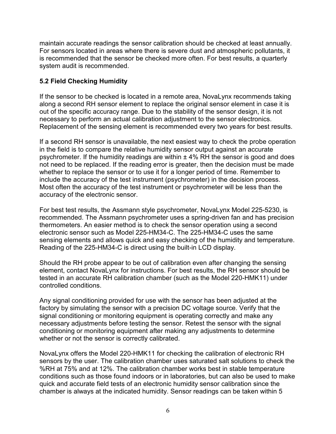maintain accurate readings the sensor calibration should be checked at least annually. For sensors located in areas where there is severe dust and atmospheric pollutants, it is recommended that the sensor be checked more often. For best results, a quarterly system audit is recommended.

#### 5.2 Field Checking Humidity

If the sensor to be checked is located in a remote area, NovaLynx recommends taking along a second RH sensor element to replace the original sensor element in case it is out of the specific accuracy range. Due to the stability of the sensor design, it is not necessary to perform an actual calibration adjustment to the sensor electronics. Replacement of the sensing element is recommended every two years for best results.

If a second RH sensor is unavailable, the next easiest way to check the probe operation in the field is to compare the relative humidity sensor output against an accurate psychrometer. If the humidity readings are within  $\pm$  4% RH the sensor is good and does not need to be replaced. If the reading error is greater, then the decision must be made whether to replace the sensor or to use it for a longer period of time. Remember to include the accuracy of the test instrument (psychrometer) in the decision process. Most often the accuracy of the test instrument or psychrometer will be less than the accuracy of the electronic sensor.

For best test results, the Assmann style psychrometer, NovaLynx Model 225-5230, is recommended. The Assmann psychrometer uses a spring-driven fan and has precision thermometers. An easier method is to check the sensor operation using a second electronic sensor such as Model 225-HM34-C. The 225-HM34-C uses the same sensing elements and allows quick and easy checking of the humidity and temperature. Reading of the 225-HM34-C is direct using the built-in LCD display.

Should the RH probe appear to be out of calibration even after changing the sensing element, contact NovaLynx for instructions. For best results, the RH sensor should be tested in an accurate RH calibration chamber (such as the Model 220-HMK11) under controlled conditions.

Any signal conditioning provided for use with the sensor has been adjusted at the factory by simulating the sensor with a precision DC voltage source. Verify that the signal conditioning or monitoring equipment is operating correctly and make any necessary adjustments before testing the sensor. Retest the sensor with the signal conditioning or monitoring equipment after making any adjustments to determine whether or not the sensor is correctly calibrated.

NovaLynx offers the Model 220-HMK11 for checking the calibration of electronic RH sensors by the user. The calibration chamber uses saturated salt solutions to check the %RH at 75% and at 12%. The calibration chamber works best in stable temperature conditions such as those found indoors or in laboratories, but can also be used to make quick and accurate field tests of an electronic humidity sensor calibration since the chamber is always at the indicated humidity. Sensor readings can be taken within 5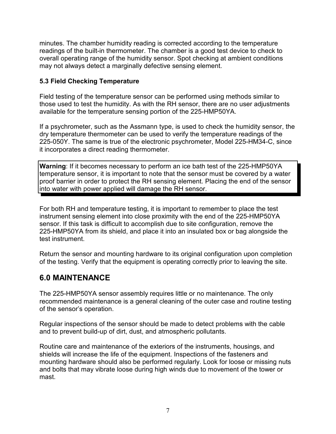minutes. The chamber humidity reading is corrected according to the temperature readings of the built-in thermometer. The chamber is a good test device to check to overall operating range of the humidity sensor. Spot checking at ambient conditions may not always detect a marginally defective sensing element.

#### 5.3 Field Checking Temperature

Field testing of the temperature sensor can be performed using methods similar to those used to test the humidity. As with the RH sensor, there are no user adjustments available for the temperature sensing portion of the 225-HMP50YA.

If a psychrometer, such as the Assmann type, is used to check the humidity sensor, the dry temperature thermometer can be used to verify the temperature readings of the 225-050Y. The same is true of the electronic psychrometer, Model 225-HM34-C, since it incorporates a direct reading thermometer.

Warning: If it becomes necessary to perform an ice bath test of the 225-HMP50YA temperature sensor, it is important to note that the sensor must be covered by a water proof barrier in order to protect the RH sensing element. Placing the end of the sensor into water with power applied will damage the RH sensor.

For both RH and temperature testing, it is important to remember to place the test instrument sensing element into close proximity with the end of the 225-HMP50YA sensor. If this task is difficult to accomplish due to site configuration, remove the 225-HMP50YA from its shield, and place it into an insulated box or bag alongside the test instrument.

Return the sensor and mounting hardware to its original configuration upon completion of the testing. Verify that the equipment is operating correctly prior to leaving the site.

## 6.0 MAINTENANCE

The 225-HMP50YA sensor assembly requires little or no maintenance. The only recommended maintenance is a general cleaning of the outer case and routine testing of the sensor's operation.

Regular inspections of the sensor should be made to detect problems with the cable and to prevent build-up of dirt, dust, and atmospheric pollutants.

Routine care and maintenance of the exteriors of the instruments, housings, and shields will increase the life of the equipment. Inspections of the fasteners and mounting hardware should also be performed regularly. Look for loose or missing nuts and bolts that may vibrate loose during high winds due to movement of the tower or mast.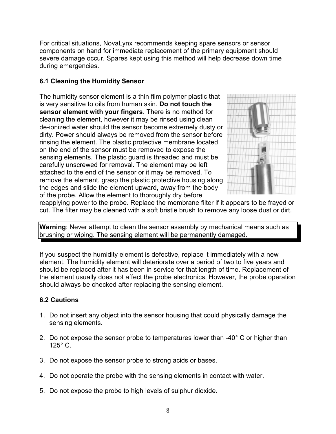For critical situations, NovaLynx recommends keeping spare sensors or sensor components on hand for immediate replacement of the primary equipment should severe damage occur. Spares kept using this method will help decrease down time during emergencies.

#### 6.1 Cleaning the Humidity Sensor

The humidity sensor element is a thin film polymer plastic that is very sensitive to oils from human skin. Do not touch the sensor element with your fingers. There is no method for cleaning the element, however it may be rinsed using clean de-ionized water should the sensor become extremely dusty or dirty. Power should always be removed from the sensor before rinsing the element. The plastic protective membrane located on the end of the sensor must be removed to expose the sensing elements. The plastic guard is threaded and must be carefully unscrewed for removal. The element may be left attached to the end of the sensor or it may be removed. To remove the element, grasp the plastic protective housing along the edges and slide the element upward, away from the body of the probe. Allow the element to thoroughly dry before



reapplying power to the probe. Replace the membrane filter if it appears to be frayed or cut. The filter may be cleaned with a soft bristle brush to remove any loose dust or dirt.

Warning: Never attempt to clean the sensor assembly by mechanical means such as brushing or wiping. The sensing element will be permanently damaged.

If you suspect the humidity element is defective, replace it immediately with a new element. The humidity element will deteriorate over a period of two to five years and should be replaced after it has been in service for that length of time. Replacement of the element usually does not affect the probe electronics. However, the probe operation should always be checked after replacing the sensing element.

#### 6.2 Cautions

- 1. Do not insert any object into the sensor housing that could physically damage the sensing elements.
- 2. Do not expose the sensor probe to temperatures lower than -40° C or higher than 125° C.
- 3. Do not expose the sensor probe to strong acids or bases.
- 4. Do not operate the probe with the sensing elements in contact with water.
- 5. Do not expose the probe to high levels of sulphur dioxide.